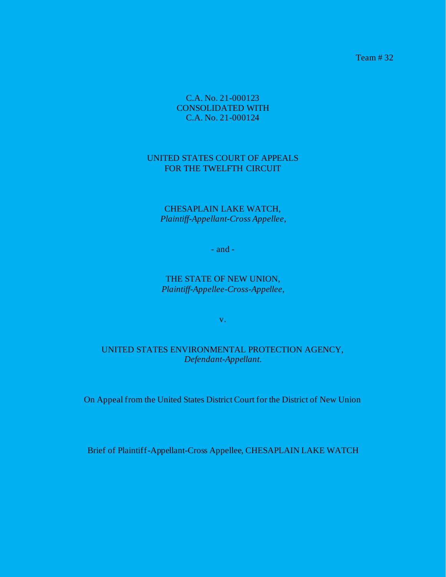Team # 32

C.A. No. 21-000123 CONSOLIDATED WITH C.A. No. 21-000124

#### UNITED STATES COURT OF APPEALS FOR THE TWELFTH CIRCUIT

CHESAPLAIN LAKE WATCH, *Plaintiff-Appellant-Cross Appellee*,

- and -

THE STATE OF NEW UNION, *Plaintiff-Appellee-Cross-Appellee*,

v.

UNITED STATES ENVIRONMENTAL PROTECTION AGENCY, *Defendant-Appellant*.

On Appeal from the United States District Court for the District of New Union

Brief of Plaintiff-Appellant-Cross Appellee, CHESAPLAIN LAKE WATCH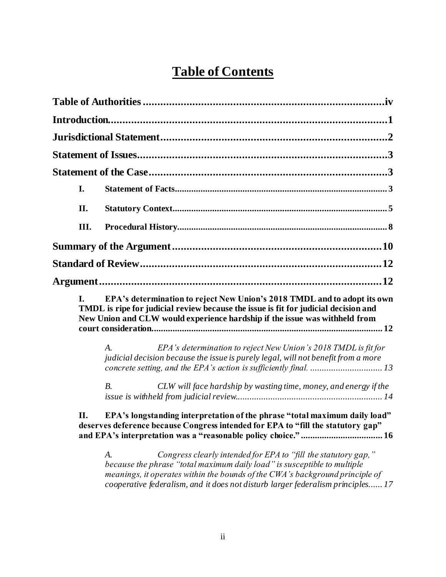# **Table of Contents**

| I.   |                                                                                                                                                                                                                                                                                                                     |
|------|---------------------------------------------------------------------------------------------------------------------------------------------------------------------------------------------------------------------------------------------------------------------------------------------------------------------|
| II.  |                                                                                                                                                                                                                                                                                                                     |
| III. |                                                                                                                                                                                                                                                                                                                     |
|      |                                                                                                                                                                                                                                                                                                                     |
|      |                                                                                                                                                                                                                                                                                                                     |
|      |                                                                                                                                                                                                                                                                                                                     |
| I.   | EPA's determination to reject New Union's 2018 TMDL and to adopt its own<br>TMDL is ripe for judicial review because the issue is fit for judicial decision and<br>New Union and CLW would experience hardship if the issue was withheld from                                                                       |
|      | EPA's determination to reject New Union's 2018 TMDL is fit for<br>A.<br>judicial decision because the issue is purely legal, will not benefit from a more                                                                                                                                                           |
|      | B <sub>1</sub><br>CLW will face hardship by wasting time, money, and energy if the                                                                                                                                                                                                                                  |
| П.   | EPA's longstanding interpretation of the phrase "total maximum daily load"<br>deserves deference because Congress intended for EPA to "fill the statutory gap"                                                                                                                                                      |
|      | Congress clearly intended for EPA to "fill the statutory gap,"<br>A.<br>because the phrase "total maximum daily load" is susceptible to multiple<br>meanings, it operates within the bounds of the CWA's background principle of<br>cooperative federalism, and it does not disturb larger federalism principles 17 |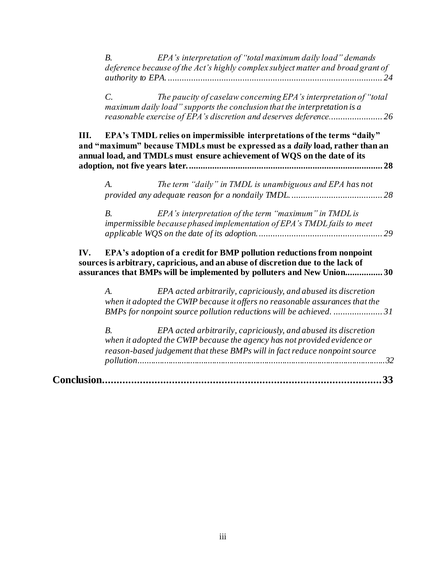|                   | EPA's interpretation of "total maximum daily load" demands<br>B <sub>1</sub><br>deference because of the Act's highly complex subject matter and broad grant of                                                                             |
|-------------------|---------------------------------------------------------------------------------------------------------------------------------------------------------------------------------------------------------------------------------------------|
|                   | The paucity of caselaw concerning EPA's interpretation of "total<br>$\mathcal{C}$ .<br>maximum daily load" supports the conclusion that the interpretation is a                                                                             |
| III.              | EPA's TMDL relies on impermissible interpretations of the terms "daily"<br>and "maximum" because TMDLs must be expressed as a <i>daily</i> load, rather than an<br>annual load, and TMDLs must ensure achievement of WQS on the date of its |
|                   | The term "daily" in TMDL is unambiguous and EPA has not<br>A.                                                                                                                                                                               |
|                   | B <sub>1</sub><br>EPA's interpretation of the term "maximum" in TMDL is<br>impermissible because phased implementation of EPA's TMDL fails to meet                                                                                          |
| IV.               | EPA's adoption of a credit for BMP pollution reductions from nonpoint<br>sources is arbitrary, capricious, and an abuse of discretion due to the lack of<br>assurances that BMPs will be implemented by polluters and New Union30           |
|                   | EPA acted arbitrarily, capriciously, and abused its discretion<br>A.<br>when it adopted the CWIP because it offers no reasonable assurances that the<br>BMPs for nonpoint source pollution reductions will be achieved. 31                  |
|                   | B <sub>1</sub><br>EPA acted arbitrarily, capriciously, and abused its discretion<br>when it adopted the CWIP because the agency has not provided evidence or<br>reason-based judgement that these BMPs will in fact reduce nonpoint source  |
| <b>Conclusion</b> | 33                                                                                                                                                                                                                                          |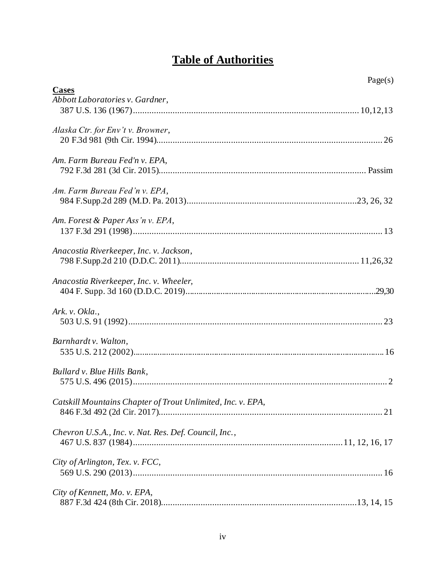# **Table of Authorities**

<span id="page-3-0"></span>

|                                                             | Page(s) |
|-------------------------------------------------------------|---------|
| <b>Cases</b><br>Abbott Laboratories v. Gardner,             |         |
|                                                             |         |
| Alaska Ctr. for Env't v. Browner,                           |         |
| Am. Farm Bureau Fed'n v. EPA,                               |         |
| Am. Farm Bureau Fed'n v. EPA,                               |         |
| Am. Forest & Paper Ass'n v. EPA,                            |         |
| Anacostia Riverkeeper, Inc. v. Jackson,                     |         |
| Anacostia Riverkeeper, Inc. v. Wheeler,                     |         |
| Ark. v. Okla.,                                              |         |
| Barnhardt v. Walton,                                        |         |
| Bullard v. Blue Hills Bank,                                 |         |
| Catskill Mountains Chapter of Trout Unlimited, Inc. v. EPA, |         |
| Chevron U.S.A., Inc. v. Nat. Res. Def. Council, Inc.,       |         |
| City of Arlington, Tex. v. FCC,                             |         |
| City of Kennett, Mo. v. EPA,                                |         |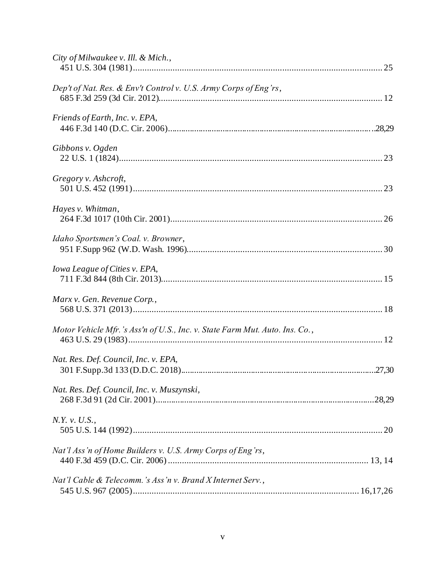| City of Milwaukee v. Ill. & Mich.,                                          |
|-----------------------------------------------------------------------------|
| Dep't of Nat. Res. & Env't Control v. U.S. Army Corps of Eng'rs,            |
| Friends of Earth, Inc. v. EPA,                                              |
| Gibbons v. Ogden                                                            |
| Gregory v. Ashcroft,                                                        |
| Hayes v. Whitman,                                                           |
| Idaho Sportsmen's Coal. v. Browner,                                         |
| Iowa League of Cities v. EPA,                                               |
| Marx v. Gen. Revenue Corp.,                                                 |
| Motor Vehicle Mfr.'s Ass'n of U.S., Inc. v. State Farm Mut. Auto. Ins. Co., |
| Nat. Res. Def. Council, Inc. v. EPA,                                        |
| Nat. Res. Def. Council, Inc. v. Muszynski,                                  |
| N.Y. v. U.S.,                                                               |
| Nat'l Ass'n of Home Builders v. U.S. Army Corps of Eng'rs,                  |
| Nat'l Cable & Telecomm.'s Ass'n v. Brand X Internet Serv.,                  |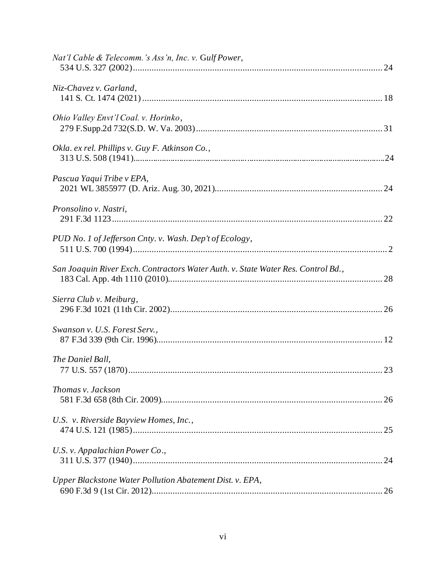| Nat'l Cable & Telecomm.'s Ass'n, Inc. v. Gulf Power,                             |
|----------------------------------------------------------------------------------|
| Niz-Chavez v. Garland,                                                           |
| Ohio Valley Envt'l Coal. v. Horinko,                                             |
| Okla. ex rel. Phillips v. Guy F. Atkinson Co.,                                   |
| Pascua Yaqui Tribe v EPA,                                                        |
| Pronsolino v. Nastri,                                                            |
| PUD No. 1 of Jefferson Cnty. v. Wash. Dep't of Ecology,                          |
| San Joaquin River Exch. Contractors Water Auth. v. State Water Res. Control Bd., |
| Sierra Club v. Meiburg,                                                          |
| Swanson v. U.S. Forest Serv.,                                                    |
| The Daniel Ball,                                                                 |
| Thomas v. Jackson                                                                |
| U.S. v. Riverside Bayview Homes, Inc.,                                           |
| U.S. v. Appalachian Power Co.,                                                   |
| Upper Blackstone Water Pollution Abatement Dist. v. EPA,                         |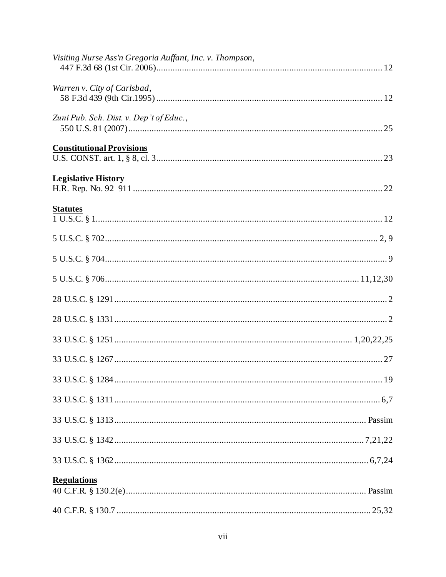| Visiting Nurse Ass'n Gregoria Auffant, Inc. v. Thompson, |
|----------------------------------------------------------|
| Warren v. City of Carlsbad,                              |
| Zuni Pub. Sch. Dist. v. Dep't of Educ.,                  |
| <b>Constitutional Provisions</b>                         |
| <b>Legislative History</b>                               |
| <b>Statutes</b>                                          |
|                                                          |
|                                                          |
|                                                          |
|                                                          |
|                                                          |
|                                                          |
|                                                          |
|                                                          |
|                                                          |
|                                                          |
|                                                          |
|                                                          |
| <b>Regulations</b>                                       |
|                                                          |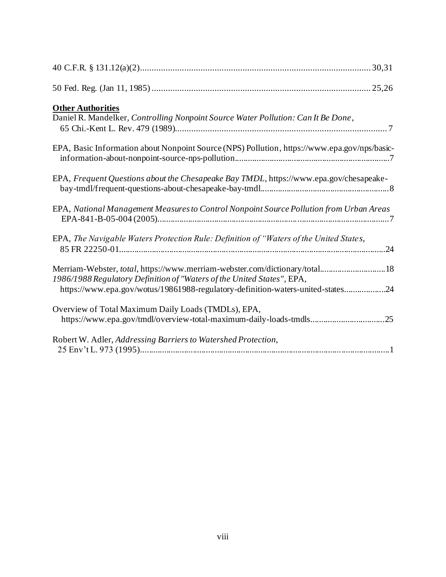| <b>Other Authorities</b><br>Daniel R. Mandelker, Controlling Nonpoint Source Water Pollution: Can It Be Done,                                                                                                                            |
|------------------------------------------------------------------------------------------------------------------------------------------------------------------------------------------------------------------------------------------|
| EPA, Basic Information about Nonpoint Source (NPS) Pollution, https://www.epa.gov/nps/basic-                                                                                                                                             |
| EPA, Frequent Questions about the Chesapeake Bay TMDL, https://www.epa.gov/chesapeake-                                                                                                                                                   |
| EPA, National Management Measures to Control Nonpoint Source Pollution from Urban Areas                                                                                                                                                  |
| EPA, The Navigable Waters Protection Rule: Definition of "Waters of the United States,                                                                                                                                                   |
| Merriam-Webster, total, https://www.merriam-webster.com/dictionary/total 18<br>1986/1988 Regulatory Definition of "Waters of the United States", EPA,<br>https://www.epa.gov/wotus/19861988-regulatory-definition-waters-united-states24 |
| Overview of Total Maximum Daily Loads (TMDLs), EPA,<br>https://www.epa.gov/tmdl/overview-total-maximum-daily-loads-tmdls25                                                                                                               |
| Robert W. Adler, Addressing Barriers to Watershed Protection,                                                                                                                                                                            |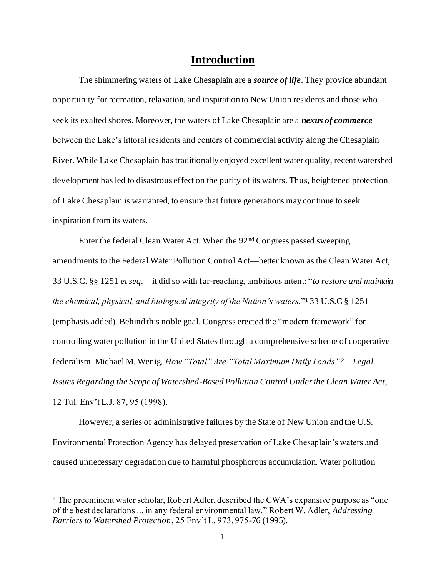# **Introduction**

<span id="page-8-0"></span>The shimmering waters of Lake Chesaplain are a *source of life*. They provide abundant opportunity for recreation, relaxation, and inspiration to New Union residents and those who seek its exalted shores. Moreover, the waters of Lake Chesaplain are a *nexus of commerce* between the Lake's littoral residents and centers of commercial activity along the Chesaplain River. While Lake Chesaplain has traditionally enjoyed excellent water quality, recent watershed development has led to disastrous effect on the purity of its waters. Thus, heightened protection of Lake Chesaplain is warranted, to ensure that future generations may continue to seek inspiration from its waters.

Enter the federal Clean Water Act. When the 92nd Congress passed sweeping amendments to the Federal Water Pollution Control Act—better known as the Clean Water Act, 33 U.S.C. §§ 1251 *et seq.*—it did so with far-reaching, ambitious intent: "*to restore and maintain the chemical, physical, and biological integrity of the Nation's waters.*" <sup>1</sup> 33 U.S.C § 1251 (emphasis added). Behind this noble goal, Congress erected the "modern framework" for controlling water pollution in the United States through a comprehensive scheme of cooperative federalism. Michael M. Wenig, *How "Total" Are "Total Maximum Daily Loads"? – Legal Issues Regarding the Scope of Watershed-Based Pollution Control Under the Clean Water Act*, 12 Tul. Env't L.J. 87, 95 (1998).

However, a series of administrative failures by the State of New Union and the U.S. Environmental Protection Agency has delayed preservation of Lake Chesaplain's waters and caused unnecessary degradation due to harmful phosphorous accumulation. Water pollution

 $<sup>1</sup>$  The preeminent water scholar, Robert Adler, described the CWA's expansive purpose as "one"</sup> of the best declarations ... in any federal environmental law." Robert W. Adler, *Addressing Barriers to Watershed Protection*, 25 Env't L. 973, 975-76 (1995).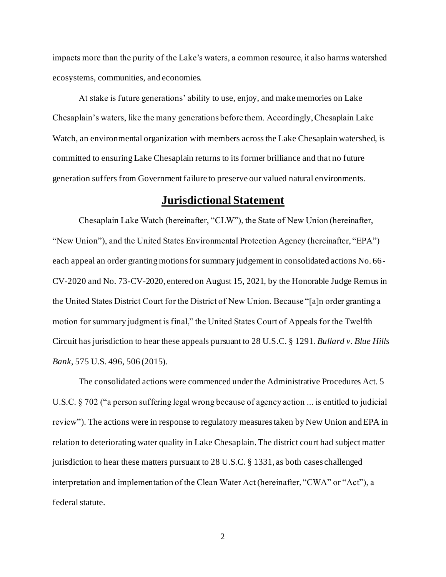impacts more than the purity of the Lake's waters, a common resource, it also harms watershed ecosystems, communities, and economies.

At stake is future generations' ability to use, enjoy, and make memories on Lake Chesaplain's waters, like the many generations before them. Accordingly, Chesaplain Lake Watch, an environmental organization with members across the Lake Chesaplain watershed, is committed to ensuring Lake Chesaplain returns to its former brilliance and that no future generation suffers from Government failure to preserve our valued natural environments.

# **Jurisdictional Statement**

<span id="page-9-0"></span>Chesaplain Lake Watch (hereinafter, "CLW"), the State of New Union (hereinafter, "New Union"), and the United States Environmental Protection Agency (hereinafter, "EPA") each appeal an order granting motions for summary judgement in consolidated actions No. 66- CV-2020 and No. 73-CV-2020, entered on August 15, 2021, by the Honorable Judge Remus in the United States District Court for the District of New Union. Because "[a]n order granting a motion for summary judgment is final," the United States Court of Appeals for the Twelfth Circuit has jurisdiction to hear these appeals pursuant to 28 U.S.C. § 1291. *Bullard v. Blue Hills Bank*, 575 U.S. 496, 506 (2015).

The consolidated actions were commenced under the Administrative Procedures Act. 5 U.S.C. § 702 ("a person suffering legal wrong because of agency action ... is entitled to judicial review"). The actions were in response to regulatory measures taken by New Union and EPA in relation to deteriorating water quality in Lake Chesaplain. The district court had subject matter jurisdiction to hear these matters pursuant to 28 U.S.C. § 1331, as both cases challenged interpretation and implementation of the Clean Water Act (hereinafter, "CWA" or "Act"), a federal statute.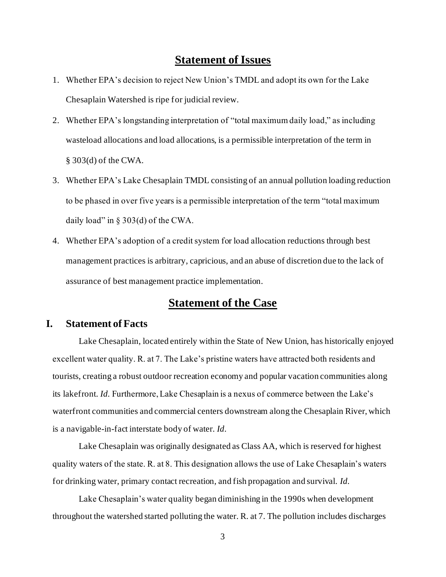# **Statement of Issues**

- <span id="page-10-0"></span>1. Whether EPA's decision to reject New Union's TMDL and adopt its own for the Lake Chesaplain Watershed is ripe for judicial review.
- 2. Whether EPA's longstanding interpretation of "total maximum daily load," as including wasteload allocations and load allocations, is a permissible interpretation of the term in § 303(d) of the CWA.
- 3. Whether EPA's Lake Chesaplain TMDL consisting of an annual pollution loading reduction to be phased in over five years is a permissible interpretation of the term "total maximum daily load" in § 303(d) of the CWA.
- 4. Whether EPA's adoption of a credit system for load allocation reductions through best management practices is arbitrary, capricious, and an abuse of discretion due to the lack of assurance of best management practice implementation.

# **Statement of the Case**

#### <span id="page-10-2"></span><span id="page-10-1"></span>**I. Statement of Facts**

Lake Chesaplain, located entirely within the State of New Union, has historically enjoyed excellent water quality. R. at 7. The Lake's pristine waters have attracted both residents and tourists, creating a robust outdoor recreation economy and popular vacation communities along its lakefront. *Id.* Furthermore, Lake Chesaplain is a nexus of commerce between the Lake's waterfront communities and commercial centers downstream along the Chesaplain River, which is a navigable-in-fact interstate body of water. *Id.*

Lake Chesaplain was originally designated as Class AA, which is reserved for highest quality waters of the state. R. at 8. This designation allows the use of Lake Chesaplain's waters for drinking water, primary contact recreation, and fish propagation and survival. *Id.*

Lake Chesaplain's water quality began diminishing in the 1990s when development throughout the watershed started polluting the water. R. at 7. The pollution includes discharges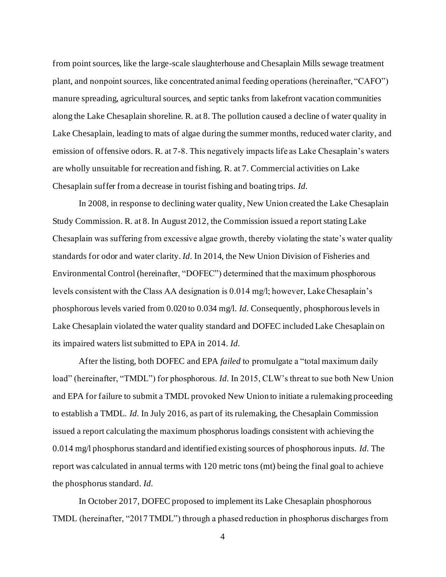from point sources, like the large-scale slaughterhouse and Chesaplain Mills sewage treatment plant, and nonpoint sources, like concentrated animal feeding operations (hereinafter, "CAFO") manure spreading, agricultural sources, and septic tanks from lakefront vacation communities along the Lake Chesaplain shoreline. R. at 8. The pollution caused a decline of water quality in Lake Chesaplain, leading to mats of algae during the summer months, reduced water clarity, and emission of offensive odors. R. at 7-8. This negatively impacts life as Lake Chesaplain's waters are wholly unsuitable for recreation and fishing. R. at 7. Commercial activities on Lake Chesaplain suffer from a decrease in tourist fishing and boating trips. *Id.*

In 2008, in response to declining water quality, New Union created the Lake Chesaplain Study Commission. R. at 8. In August 2012, the Commission issued a report stating Lake Chesaplain was suffering from excessive algae growth, thereby violating the state's water quality standards for odor and water clarity. *Id.* In 2014, the New Union Division of Fisheries and Environmental Control (hereinafter, "DOFEC") determined that the maximum phosphorous levels consistent with the Class AA designation is 0.014 mg/l; however, Lake Chesaplain's phosphorous levels varied from 0.020 to 0.034 mg/l. *Id.* Consequently, phosphorous levels in Lake Chesaplain violated the water quality standard and DOFEC included Lake Chesaplain on its impaired waters list submitted to EPA in 2014. *Id.*

After the listing, both DOFEC and EPA *failed* to promulgate a "total maximum daily load" (hereinafter, "TMDL") for phosphorous. *Id.* In 2015, CLW's threat to sue both New Union and EPA for failure to submit a TMDL provoked New Union to initiate a rulemaking proceeding to establish a TMDL. *Id.* In July 2016, as part of its rulemaking, the Chesaplain Commission issued a report calculating the maximum phosphorus loadings consistent with achieving the 0.014 mg/l phosphorus standard and identified existing sources of phosphorous inputs. *Id.* The report was calculated in annual terms with 120 metric tons (mt) being the final goal to achieve the phosphorus standard. *Id.*

In October 2017, DOFEC proposed to implement its Lake Chesaplain phosphorous TMDL (hereinafter, "2017 TMDL") through a phased reduction in phosphorus discharges from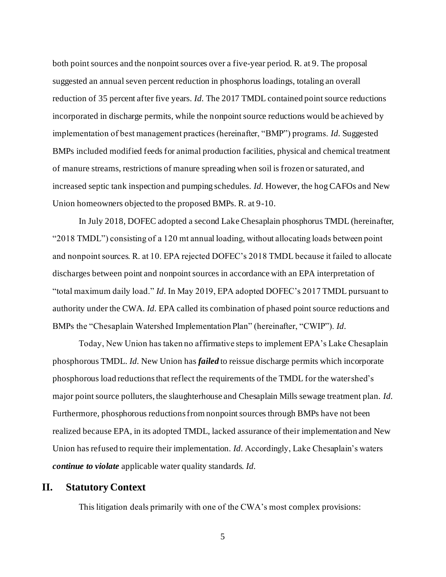both point sources and the nonpoint sources over a five-year period. R. at 9. The proposal suggested an annual seven percent reduction in phosphorus loadings, totaling an overall reduction of 35 percent after five years. *Id.* The 2017 TMDL contained point source reductions incorporated in discharge permits, while the nonpoint source reductions would be achieved by implementation of best management practices (hereinafter, "BMP") programs. *Id.* Suggested BMPs included modified feeds for animal production facilities, physical and chemical treatment of manure streams, restrictions of manure spreading when soil is frozen or saturated, and increased septic tank inspection and pumping schedules. *Id.* However, the hog CAFOs and New Union homeowners objected to the proposed BMPs. R. at 9-10.

In July 2018, DOFEC adopted a second Lake Chesaplain phosphorus TMDL (hereinafter, "2018 TMDL") consisting of a 120 mt annual loading, without allocating loads between point and nonpoint sources. R. at 10. EPA rejected DOFEC's 2018 TMDL because it failed to allocate discharges between point and nonpoint sources in accordance with an EPA interpretation of "total maximum daily load." *Id.* In May 2019, EPA adopted DOFEC's 2017 TMDL pursuant to authority under the CWA. *Id.* EPA called its combination of phased point source reductions and BMPs the "Chesaplain Watershed Implementation Plan" (hereinafter, "CWIP"). *Id.*

Today, New Union has taken no affirmative steps to implement EPA's Lake Chesaplain phosphorous TMDL. *Id.* New Union has *failed* to reissue discharge permits which incorporate phosphorous load reductions that reflect the requirements of the TMDL for the watershed's major point source polluters, the slaughterhouse and Chesaplain Mills sewage treatment plan. *Id.* Furthermore, phosphorous reductions from nonpoint sources through BMPs have not been realized because EPA, in its adopted TMDL, lacked assurance of their implementation and New Union has refused to require their implementation. *Id.* Accordingly, Lake Chesaplain's waters *continue to violate* applicable water quality standards. *Id.*

#### <span id="page-12-0"></span>**II. Statutory Context**

This litigation deals primarily with one of the CWA's most complex provisions: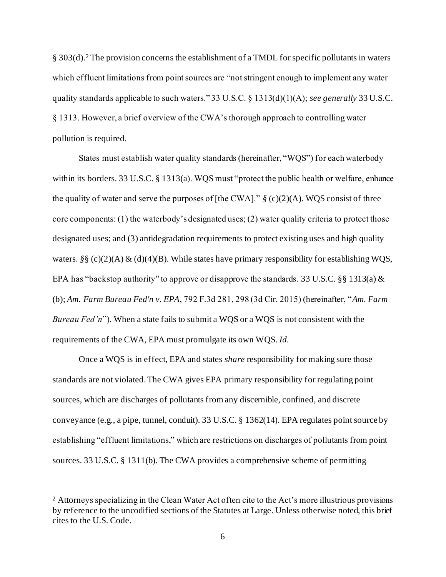§ 303(d).<sup>2</sup> The provision concerns the establishment of a TMDL for specific pollutants in waters which effluent limitations from point sources are "not stringent enough to implement any water quality standards applicable to such waters." 33 U.S.C. § 1313(d)(1)(A); *see generally* 33 U.S.C. § 1313. However, a brief overview of the CWA's thorough approach to controlling water pollution is required.

States must establish water quality standards (hereinafter, "WQS") for each waterbody within its borders. 33 U.S.C. § 1313(a). WQS must "protect the public health or welfare, enhance the quality of water and serve the purposes of [the CWA]." *§* (c)(2)(A). WQS consist of three core components: (1) the waterbody's designated uses; (2) water quality criteria to protect those designated uses; and (3) antidegradation requirements to protect existing uses and high quality waters. *§§* (c)(2)(A) & (d)(4)(B). While states have primary responsibility for establishing WQS, EPA has "backstop authority" to approve or disapprove the standards. 33 U.S.C. §§ 1313(a)  $\&$ (b); *Am. Farm Bureau Fed'n v. EPA*, 792 F.3d 281, 298 (3d Cir. 2015) (hereinafter, "*Am. Farm Bureau Fed'n*"). When a state fails to submit a WQS or a WQS is not consistent with the requirements of the CWA, EPA must promulgate its own WQS. *Id.* 

Once a WQS is in effect, EPA and states *share* responsibility for making sure those standards are not violated. The CWA gives EPA primary responsibility for regulating point sources, which are discharges of pollutants from any discernible, confined, and discrete conveyance (e.g., a pipe, tunnel, conduit). 33 U.S.C. § 1362(14). EPA regulates point source by establishing "effluent limitations," which are restrictions on discharges of pollutants from point sources. 33 U.S.C. § 1311(b). The CWA provides a comprehensive scheme of permitting—

<sup>&</sup>lt;sup>2</sup> Attorneys specializing in the Clean Water Act often cite to the Act's more illustrious provisions by reference to the uncodified sections of the Statutes at Large. Unless otherwise noted, this brief cites to the U.S. Code.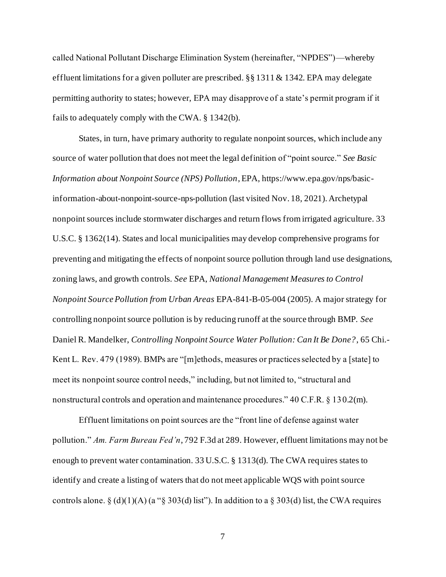called National Pollutant Discharge Elimination System (hereinafter, "NPDES")—whereby effluent limitations for a given polluter are prescribed. §§ 1311 & 1342. EPA may delegate permitting authority to states; however, EPA may disapprove of a state's permit program if it fails to adequately comply with the CWA. § 1342(b).

States, in turn, have primary authority to regulate nonpoint sources, which include any source of water pollution that does not meet the legal definition of "point source." *See Basic Information about Nonpoint Source (NPS) Pollution*,EPA, https://www.epa.gov/nps/basicinformation-about-nonpoint-source-nps-pollution (last visited Nov. 18, 2021). Archetypal nonpoint sources include stormwater discharges and return flows from irrigated agriculture. 33 U.S.C. § 1362(14). States and local municipalities may develop comprehensive programs for preventing and mitigating the effects of nonpoint source pollution through land use designations, zoning laws, and growth controls. *See* EPA, *National Management Measures to Control Nonpoint Source Pollution from Urban Areas* EPA-841-B-05-004 (2005). A major strategy for controlling nonpoint source pollution is by reducing runoff at the source through BMP. *See* Daniel R. Mandelker, *Controlling Nonpoint Source Water Pollution: Can It Be Done?*, 65 Chi.- Kent L. Rev. 479 (1989). BMPs are "[m]ethods, measures or practices selected by a [state] to meet its nonpoint source control needs," including, but not limited to, "structural and nonstructural controls and operation and maintenance procedures." 40 C.F.R. § 130.2(m).

Effluent limitations on point sources are the "front line of defense against water pollution." *Am. Farm Bureau Fed'n*, 792 F.3d at 289. However, effluent limitations may not be enough to prevent water contamination. 33 U.S.C. § 1313(d). The CWA requires states to identify and create a listing of waters that do not meet applicable WQS with point source controls alone.  $\S$  (d)(1)(A) (a " $\S$  303(d) list"). In addition to a  $\S$  303(d) list, the CWA requires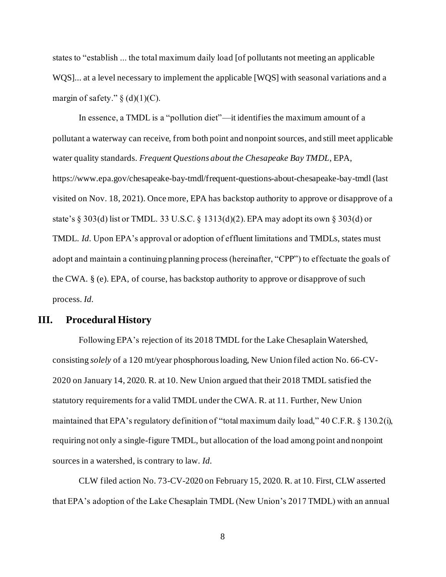states to "establish ... the total maximum daily load [of pollutants not meeting an applicable WQS]... at a level necessary to implement the applicable [WQS] with seasonal variations and a margin of safety."  $\S$  (d)(1)(C).

In essence, a TMDL is a "pollution diet"—it identifies the maximum amount of a pollutant a waterway can receive, from both point and nonpoint sources, and still meet applicable water quality standards. *Frequent Questions about the Chesapeake Bay TMDL*, EPA, https://www.epa.gov/chesapeake-bay-tmdl/frequent-questions-about-chesapeake-bay-tmdl (last visited on Nov. 18, 2021). Once more, EPA has backstop authority to approve or disapprove of a state's § 303(d) list or TMDL. 33 U.S.C. § 1313(d)(2). EPA may adopt its own § 303(d) or TMDL. *Id.* Upon EPA's approval or adoption of effluent limitations and TMDLs, states must adopt and maintain a continuing planning process (hereinafter, "CPP") to effectuate the goals of the CWA. § (e). EPA, of course, has backstop authority to approve or disapprove of such process. *Id.*

#### <span id="page-15-0"></span>**III. Procedural History**

Following EPA's rejection of its 2018 TMDL for the Lake Chesaplain Watershed, consisting *solely* of a 120 mt/year phosphorous loading, New Union filed action No. 66-CV-2020 on January 14, 2020. R. at 10. New Union argued that their 2018 TMDL satisfied the statutory requirements for a valid TMDL under the CWA. R. at 11. Further, New Union maintained that EPA's regulatory definition of "total maximum daily load," 40 C.F.R. § 130.2(i), requiring not only a single-figure TMDL, but allocation of the load among point and nonpoint sources in a watershed, is contrary to law. *Id.*

CLW filed action No. 73-CV-2020 on February 15, 2020. R. at 10. First, CLW asserted that EPA's adoption of the Lake Chesaplain TMDL (New Union's 2017 TMDL) with an annual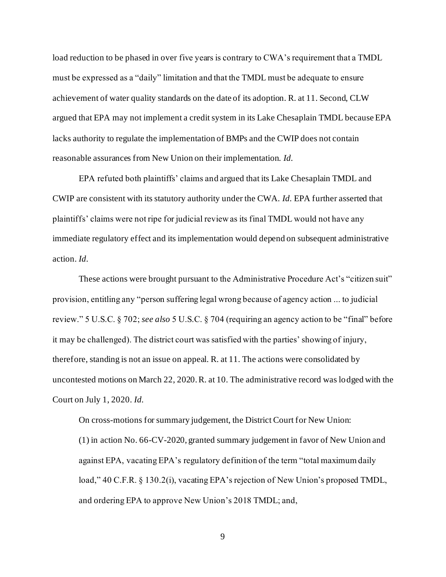load reduction to be phased in over five years is contrary to CWA's requirement that a TMDL must be expressed as a "daily" limitation and that the TMDL must be adequate to ensure achievement of water quality standards on the date of its adoption. R. at 11. Second, CLW argued that EPA may not implement a credit system in its Lake Chesaplain TMDL because EPA lacks authority to regulate the implementation of BMPs and the CWIP does not contain reasonable assurances from New Union on their implementation. *Id.*

EPA refuted both plaintiffs' claims and argued that its Lake Chesaplain TMDL and CWIP are consistent with its statutory authority under the CWA. *Id.* EPA further asserted that plaintiffs' claims were not ripe for judicial review as its final TMDL would not have any immediate regulatory effect and its implementation would depend on subsequent administrative action. *Id.*

These actions were brought pursuant to the Administrative Procedure Act's "citizen suit" provision, entitling any "person suffering legal wrong because of agency action ... to judicial review." 5 U.S.C. § 702; *see also* 5 U.S.C. § 704 (requiring an agency action to be "final" before it may be challenged). The district court was satisfied with the parties' showing of injury, therefore, standing is not an issue on appeal. R. at 11. The actions were consolidated by uncontested motions on March 22, 2020. R. at 10. The administrative record was lodged with the Court on July 1, 2020. *Id.* 

On cross-motions for summary judgement, the District Court for New Union: (1) in action No. 66-CV-2020, granted summary judgement in favor of New Union and against EPA, vacating EPA's regulatory definition of the term "total maximum daily load," 40 C.F.R. § 130.2(i), vacating EPA's rejection of New Union's proposed TMDL, and ordering EPA to approve New Union's 2018 TMDL; and,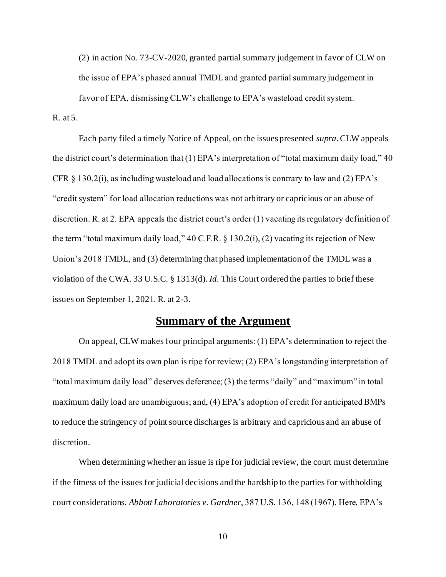(2) in action No. 73-CV-2020, granted partial summary judgement in favor of CLW on the issue of EPA's phased annual TMDL and granted partial summary judgement in favor of EPA, dismissing CLW's challenge to EPA's wasteload credit system.

R. at 5.

Each party filed a timely Notice of Appeal, on the issues presented *supra*.CLW appeals the district court's determination that (1) EPA's interpretation of "total maximum daily load," 40 CFR  $\S 130.2(i)$ , as including wasteload and load allocations is contrary to law and (2) EPA's "credit system" for load allocation reductions was not arbitrary or capricious or an abuse of discretion. R. at 2. EPA appeals the district court's order (1) vacating its regulatory definition of the term "total maximum daily load," 40 C.F.R. § 130.2(i), (2) vacating its rejection of New Union's 2018 TMDL, and (3) determining that phased implementation of the TMDL was a violation of the CWA. 33 U.S.C. § 1313(d). *Id.* This Court ordered the parties to brief these issues on September 1, 2021. R. at 2-3.

# **Summary of the Argument**

<span id="page-17-0"></span>On appeal, CLW makes four principal arguments: (1) EPA's determination to reject the 2018 TMDL and adopt its own plan is ripe for review; (2) EPA's longstanding interpretation of "total maximum daily load" deserves deference; (3) the terms "daily" and "maximum" in total maximum daily load are unambiguous; and, (4) EPA's adoption of credit for anticipated BMPs to reduce the stringency of point source discharges is arbitrary and capricious and an abuse of discretion.

When determining whether an issue is ripe for judicial review, the court must determine if the fitness of the issues for judicial decisions and the hardship to the parties for withholding court considerations. *Abbott Laboratories v. Gardner*, 387 U.S. 136, 148 (1967). Here, EPA's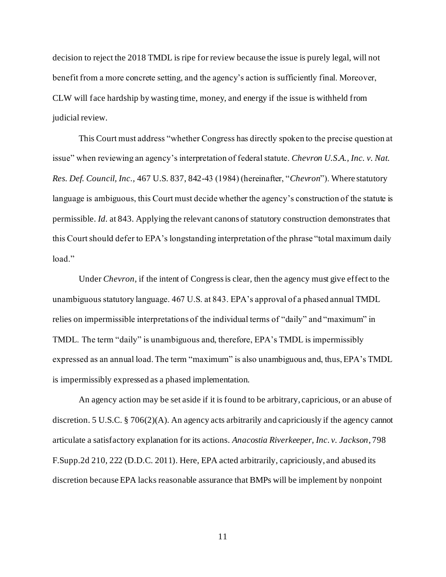decision to reject the 2018 TMDL is ripe for review because the issue is purely legal, will not benefit from a more concrete setting, and the agency's action is sufficiently final. Moreover, CLW will face hardship by wasting time, money, and energy if the issue is withheld from judicial review.

This Court must address "whether Congress has directly spoken to the precise question at issue" when reviewing an agency's interpretation of federal statute. *Chevron U.S.A., Inc. v. Nat. Res. Def. Council, Inc.,* 467 U.S. 837, 842-43 (1984) (hereinafter, "*Chevron*"). Where statutory language is ambiguous, this Court must decide whether the agency's construction of the statute is permissible. *Id.* at 843. Applying the relevant canons of statutory construction demonstrates that this Court should defer to EPA's longstanding interpretation of the phrase "total maximum daily load."

Under *Chevron*, if the intent of Congress is clear, then the agency must give effect to the unambiguous statutory language. 467 U.S. at 843. EPA's approval of a phased annual TMDL relies on impermissible interpretations of the individual terms of "daily" and "maximum" in TMDL. The term "daily" is unambiguous and, therefore, EPA's TMDL is impermissibly expressed as an annual load. The term "maximum" is also unambiguous and, thus, EPA's TMDL is impermissibly expressed as a phased implementation.

An agency action may be set aside if it is found to be arbitrary, capricious, or an abuse of discretion. 5 U.S.C. § 706(2)(A). An agency acts arbitrarily and capriciously if the agency cannot articulate a satisfactory explanation for its actions. *Anacostia Riverkeeper, Inc. v. Jackson*, 798 F.Supp.2d 210, 222 (D.D.C. 2011). Here, EPA acted arbitrarily, capriciously, and abused its discretion because EPA lacks reasonable assurance that BMPs will be implement by nonpoint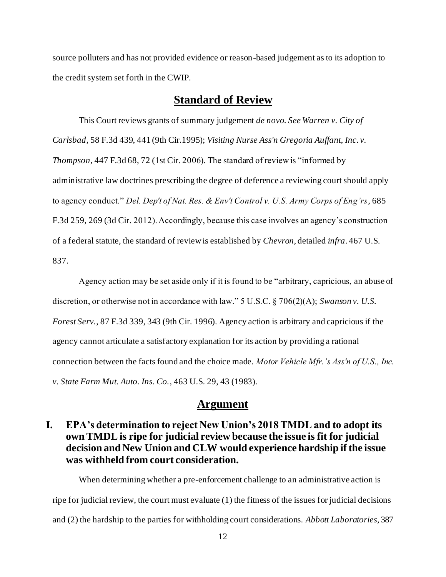source polluters and has not provided evidence or reason-based judgement as to its adoption to the credit system set forth in the CWIP.

# **Standard of Review**

<span id="page-19-0"></span>This Court reviews grants of summary judgement *de novo*. *See Warren v. City of Carlsbad*, 58 F.3d 439, 441 (9th Cir.1995); *Visiting Nurse Ass'n Gregoria Auffant, Inc. v. Thompson*, 447 F.3d 68, 72 (1st Cir. 2006). The standard of review is "informed by administrative law doctrines prescribing the degree of deference a reviewing court should apply to agency conduct." *Del. Dep't of Nat. Res. & Env't Control v. U.S. Army Corps of Eng'rs*, 685 F.3d 259, 269 (3d Cir. 2012). Accordingly, because this case involves an agency's construction of a federal statute, the standard of review is established by *Chevron*, detailed *infra*. 467 U.S. 837.

Agency action may be set aside only if it is found to be "arbitrary, capricious, an abuse of discretion, or otherwise not in accordance with law." 5 U.S.C. § 706(2)(A); *Swanson v. U.S. Forest Serv.*, 87 F.3d 339, 343 (9th Cir. 1996). Agency action is arbitrary and capricious if the agency cannot articulate a satisfactory explanation for its action by providing a rational connection between the facts found and the choice made. *Motor Vehicle Mfr.'s Ass'n of U.S., Inc. v. State Farm Mut. Auto. Ins. Co.*, 463 U.S. 29, 43 (1983).

#### **Argument**

# <span id="page-19-2"></span><span id="page-19-1"></span>**I. EPA's determination to reject New Union's 2018 TMDL and to adopt its own TMDL is ripe for judicial review because the issue is fit for judicial decision and New Union and CLW would experience hardship if the issue was withheld from court consideration.**

When determining whether a pre-enforcement challenge to an administrative action is ripe for judicial review, the court must evaluate (1) the fitness of the issues for judicial decisions and (2) the hardship to the parties for withholding court considerations. *Abbott Laboratories,* 387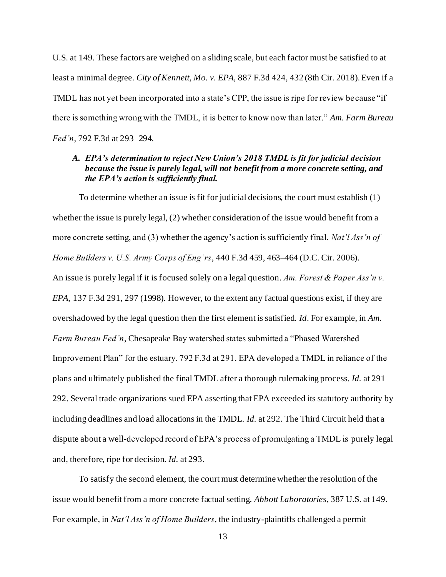U.S. at 149. These factors are weighed on a sliding scale, but each factor must be satisfied to at least a minimal degree. *City of Kennett, Mo. v. EPA,* 887 F.3d 424, 432 (8th Cir. 2018). Even if a TMDL has not yet been incorporated into a state's CPP, the issue is ripe for review because "if there is something wrong with the TMDL, it is better to know now than later." *Am. Farm Bureau Fed'n*, 792 F.3d at 293–294.

#### <span id="page-20-0"></span>*A. EPA's determination to reject New Union's 2018 TMDL is fit for judicial decision because the issue is purely legal, will not benefit from a more concrete setting, and the EPA's action is sufficiently final.*

To determine whether an issue is fit for judicial decisions, the court must establish (1) whether the issue is purely legal, (2) whether consideration of the issue would benefit from a more concrete setting, and (3) whether the agency's action is sufficiently final. *Nat'l Ass'n of Home Builders v. U.S. Army Corps of Eng'rs*, 440 F.3d 459, 463–464 (D.C. Cir. 2006). An issue is purely legal if it is focused solely on a legal question. *Am. Forest & Paper Ass'n v. EPA,* 137 F.3d 291, 297 (1998). However, to the extent any factual questions exist, if they are overshadowed by the legal question then the first element is satisfied. *Id*. For example, in *Am. Farm Bureau Fed'n*, Chesapeake Bay watershed states submitted a "Phased Watershed Improvement Plan" for the estuary. 792 F.3d at 291. EPA developed a TMDL in reliance of the plans and ultimately published the final TMDL after a thorough rulemaking process. *Id.* at 291– 292. Several trade organizations sued EPA asserting that EPA exceeded its statutory authority by including deadlines and load allocations in the TMDL. *Id.* at 292. The Third Circuit held that a dispute about a well-developed record of EPA's process of promulgating a TMDL is purely legal and, therefore, ripe for decision. *Id.* at 293.

To satisfy the second element, the court must determine whether the resolution of the issue would benefit from a more concrete factual setting. *Abbott Laboratories*, 387 U.S. at 149. For example, in *Nat'l Ass'n of Home Builders*, the industry-plaintiffs challenged a permit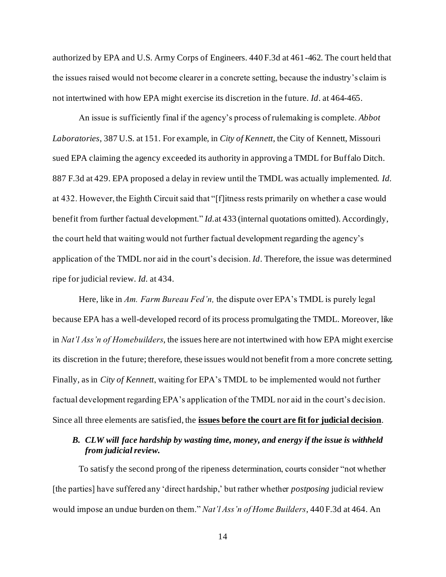authorized by EPA and U.S. Army Corps of Engineers. 440 F.3d at 461-462. The court held that the issues raised would not become clearer in a concrete setting, because the industry's claim is not intertwined with how EPA might exercise its discretion in the future. *Id*. at 464-465.

An issue is sufficiently final if the agency's process of rulemaking is complete. *Abbot Laboratories*, 387 U.S. at 151. For example, in *City of Kennett*, the City of Kennett, Missouri sued EPA claiming the agency exceeded its authority in approving a TMDL for Buffalo Ditch. 887 F.3d at 429. EPA proposed a delay in review until the TMDL was actually implemented. *Id.* at 432. However, the Eighth Circuit said that "[f]itness rests primarily on whether a case would benefit from further factual development." *Id.*at 433 (internal quotations omitted). Accordingly, the court held that waiting would not further factual development regarding the agency's application of the TMDL nor aid in the court's decision. *Id*. Therefore, the issue was determined ripe for judicial review*. Id.* at 434.

Here, like in *Am. Farm Bureau Fed'n,* the dispute over EPA's TMDL is purely legal because EPA has a well-developed record of its process promulgating the TMDL. Moreover, like in *Nat'l Ass'n of Homebuilders*, the issues here are not intertwined with how EPA might exercise its discretion in the future; therefore, these issues would not benefit from a more concrete setting. Finally, as in *City of Kennett*, waiting for EPA's TMDL to be implemented would not further factual development regarding EPA's application of the TMDL nor aid in the court's decision. Since all three elements are satisfied, the **issues before the court are fit for judicial decision**.

#### <span id="page-21-0"></span>*B. CLW will face hardship by wasting time, money, and energy if the issue is withheld from judicial review.*

To satisfy the second prong of the ripeness determination, courts consider "not whether [the parties] have suffered any 'direct hardship,' but rather whether *postposing* judicial review would impose an undue burden on them." *Nat'l Ass'n of Home Builders*, 440 F.3d at 464. An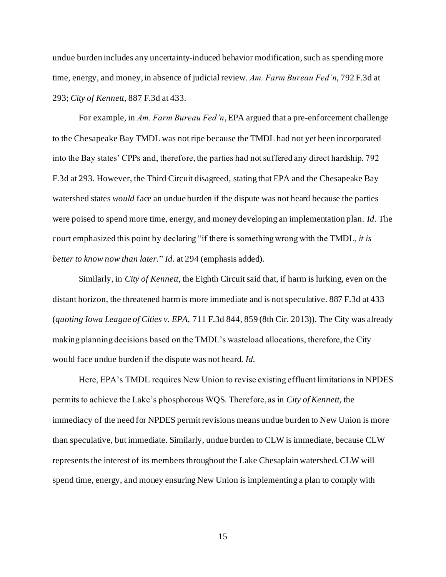undue burden includes any uncertainty-induced behavior modification, such as spending more time, energy, and money, in absence of judicial review. *Am. Farm Bureau Fed'n*, 792 F.3d at 293; *City of Kennett*, 887 F.3d at 433.

For example, in *Am. Farm Bureau Fed'n*, EPA argued that a pre-enforcement challenge to the Chesapeake Bay TMDL was not ripe because the TMDL had not yet been incorporated into the Bay states' CPPs and, therefore, the parties had not suffered any direct hardship. 792 F.3d at 293. However, the Third Circuit disagreed, stating that EPA and the Chesapeake Bay watershed states *would* face an undue burden if the dispute was not heard because the parties were poised to spend more time, energy, and money developing an implementation plan. *Id.* The court emphasized this point by declaring "if there is something wrong with the TMDL, *it is better to know now than later.*" *Id.* at 294 (emphasis added).

Similarly, in *City of Kennett*, the Eighth Circuit said that, if harm is lurking, even on the distant horizon, the threatened harm is more immediate and is not speculative. 887 F.3d at 433 (*quoting Iowa League of Cities v. EPA*, 711 F.3d 844, 859 (8th Cir. 2013)). The City was already making planning decisions based on the TMDL's wasteload allocations, therefore, the City would face undue burden if the dispute was not heard. *Id.*

Here, EPA's TMDL requires New Union to revise existing effluent limitations in NPDES permits to achieve the Lake's phosphorous WQS. Therefore, as in *City of Kennett*, the immediacy of the need for NPDES permit revisions means undue burden to New Union is more than speculative, but immediate. Similarly, undue burden to CLW is immediate, because CLW represents the interest of its members throughout the Lake Chesaplain watershed. CLW will spend time, energy, and money ensuring New Union is implementing a plan to comply with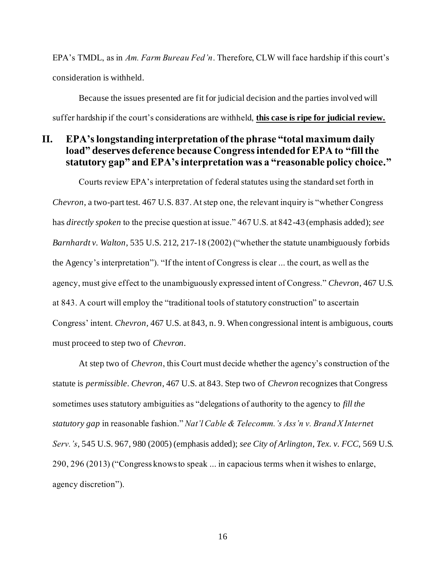EPA's TMDL, as in *Am. Farm Bureau Fed'n*. Therefore, CLW will face hardship if this court's consideration is withheld.

Because the issues presented are fit for judicial decision and the parties involved will suffer hardship if the court's considerations are withheld, **this case is ripe for judicial review.**

# <span id="page-23-0"></span>**II. EPA's longstanding interpretation of the phrase "total maximum daily load" deserves deference because Congress intended for EPA to "fill the statutory gap" and EPA's interpretation was a "reasonable policy choice."**

Courts review EPA's interpretation of federal statutes using the standard set forth in *Chevron*, a two-part test. 467 U.S. 837. At step one, the relevant inquiry is "whether Congress has *directly spoken* to the precise question at issue." 467 U.S. at 842-43 (emphasis added); *see Barnhardt v. Walton*, 535 U.S. 212, 217-18 (2002) ("whether the statute unambiguously forbids the Agency's interpretation"). "If the intent of Congress is clear ... the court, as well as the agency, must give effect to the unambiguously expressed intent of Congress." *Chevron*, 467 U.S. at 843. A court will employ the "traditional tools of statutory construction" to ascertain Congress' intent. *Chevron,* 467 U.S. at 843, n. 9. When congressional intent is ambiguous, courts must proceed to step two of *Chevron*.

At step two of *Chevron*, this Court must decide whether the agency's construction of the statute is *permissible*. *Chevron*, 467 U.S. at 843. Step two of *Chevron* recognizes that Congress sometimes uses statutory ambiguities as "delegations of authority to the agency to *fill the statutory gap* in reasonable fashion." *Nat'l Cable & Telecomm.'s Ass'n v. Brand X Internet Serv.'s*, 545 U.S. 967, 980 (2005) (emphasis added); *see City of Arlington, Tex. v. FCC,* 569 U.S. 290, 296 (2013) ("Congress knows to speak ... in capacious terms when it wishes to enlarge, agency discretion").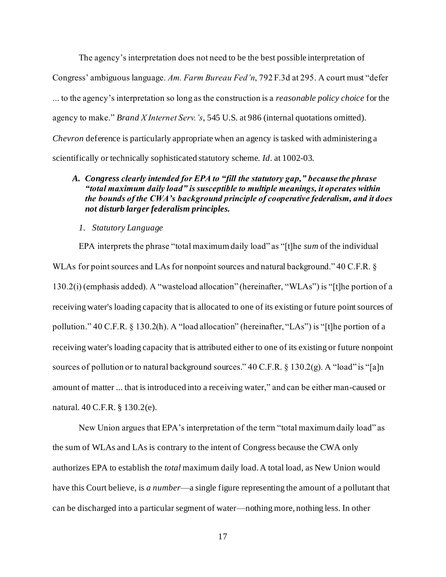The agency's interpretation does not need to be the best possible interpretation of Congress' ambiguous language. *Am. Farm Bureau Fed'n*, 792 F.3d at 295. A court must "defer ... to the agency's interpretation so long as the construction is a *reasonable policy choice* for the agency to make." *Brand X Internet Serv.'s*, 545 U.S. at 986 (internal quotations omitted). *Chevron* deference is particularly appropriate when an agency is tasked with administering a scientifically or technically sophisticated statutory scheme. *Id*. at 1002-03.

#### <span id="page-24-0"></span>*A. Congress clearly intended for EPA to "fill the statutory gap," because the phrase "total maximum daily load" is susceptible to multiple meanings, it operates within the bounds of the CWA's background principle of cooperative federalism, and it does not disturb larger federalism principles.*

*1. Statutory Language*

EPA interprets the phrase "total maximum daily load" as "[t]he *sum* of the individual WLAs for point sources and LAs for nonpoint sources and natural background." 40 C.F.R. § 130.2(i) (emphasis added). A "wasteload allocation" (hereinafter, "WLAs") is "[t]he portion of a receiving water's loading capacity that is allocated to one of its existing or future point sources of pollution." 40 C.F.R. § 130.2(h). A "load allocation" (hereinafter, "LAs") is "[t]he portion of a receiving water's loading capacity that is attributed either to one of its existing or future nonpoint sources of pollution or to natural background sources." 40 C.F.R. § 130.2(g). A "load" is "[a]n amount of matter ... that is introduced into a receiving water," and can be either man-caused or natural. 40 C.F.R. § 130.2(e).

New Union argues that EPA's interpretation of the term "total maximum daily load" as the sum of WLAs and LAs is contrary to the intent of Congress because the CWA only authorizes EPA to establish the *total* maximum daily load. A total load, as New Union would have this Court believe, is *a number*—a single figure representing the amount of a pollutant that can be discharged into a particular segment of water—nothing more, nothing less. In other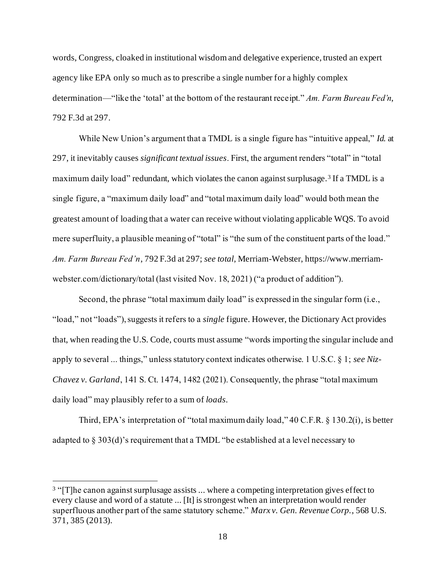words, Congress, cloaked in institutional wisdom and delegative experience, trusted an expert agency like EPA only so much as to prescribe a single number for a highly complex determination—"like the 'total' at the bottom of the restaurant receipt." *Am. Farm Bureau Fed'n*, 792 F.3d at 297.

While New Union's argument that a TMDL is a single figure has "intuitive appeal," *Id.* at 297, it inevitably causes *significant textual issues*. First, the argument renders "total" in "total maximum daily load" redundant, which violates the canon against surplusage.<sup>3</sup> If a TMDL is a single figure, a "maximum daily load" and "total maximum daily load" would both mean the greatest amount of loading that a water can receive without violating applicable WQS. To avoid mere superfluity, a plausible meaning of "total" is "the sum of the constituent parts of the load." *Am. Farm Bureau Fed'n*, 792 F.3d at 297; *see total*, Merriam-Webster, https://www.merriamwebster.com/dictionary/total (last visited Nov. 18, 2021) ("a product of addition").

Second, the phrase "total maximum daily load" is expressed in the singular form (i.e., "load," not "loads"), suggests it refers to a *single* figure. However, the Dictionary Act provides that, when reading the U.S. Code, courts must assume "words importing the singular include and apply to several ... things," unless statutory context indicates otherwise. 1 U.S.C. § 1; *see Niz-Chavez v. Garland*, 141 S. Ct. 1474, 1482 (2021). Consequently, the phrase "total maximum daily load" may plausibly refer to a sum of *loads*.

Third, EPA's interpretation of "total maximum daily load," 40 C.F.R. § 130.2(i), is better adapted to § 303(d)'s requirement that a TMDL "be established at a level necessary to

<sup>&</sup>lt;sup>3</sup> "[T]he canon against surplusage assists ... where a competing interpretation gives effect to every clause and word of a statute ... [It] is strongest when an interpretation would render superfluous another part of the same statutory scheme." *Marx v. Gen. Revenue Corp.*, 568 U.S. 371, 385 (2013).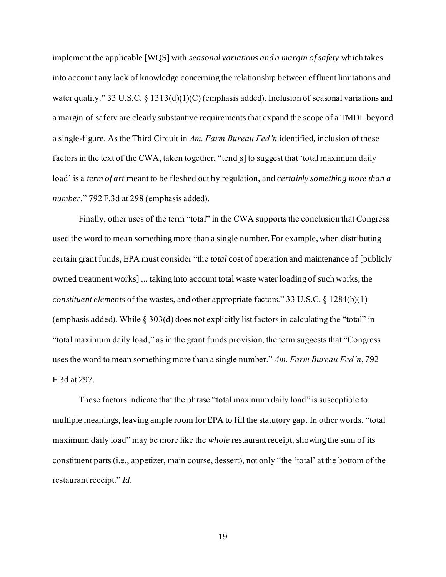implement the applicable [WQS] with *seasonal variations and a margin of safety* which takes into account any lack of knowledge concerning the relationship between effluent limitations and water quality." 33 U.S.C. § 1313(d)(1)(C) (emphasis added). Inclusion of seasonal variations and a margin of safety are clearly substantive requirements that expand the scope of a TMDL beyond a single-figure. As the Third Circuit in *Am. Farm Bureau Fed'n* identified, inclusion of these factors in the text of the CWA, taken together, "tend[s] to suggest that 'total maximum daily load' is a *term of art* meant to be fleshed out by regulation, and *certainly something more than a number*." 792 F.3d at 298 (emphasis added).

Finally, other uses of the term "total" in the CWA supports the conclusion that Congress used the word to mean something more than a single number. For example, when distributing certain grant funds, EPA must consider "the *total* cost of operation and maintenance of [publicly owned treatment works] ... taking into account total waste water loading of such works, the *constituent elements* of the wastes, and other appropriate factors." 33 U.S.C. § 1284(b)(1) (emphasis added). While § 303(d) does not explicitly list factors in calculating the "total" in "total maximum daily load," as in the grant funds provision, the term suggests that "Congress uses the word to mean something more than a single number." *Am. Farm Bureau Fed'n*, 792 F.3d at 297.

These factors indicate that the phrase "total maximum daily load" is susceptible to multiple meanings, leaving ample room for EPA to fill the statutory gap. In other words, "total maximum daily load" may be more like the *whole* restaurant receipt, showing the sum of its constituent parts (i.e., appetizer, main course, dessert), not only "the 'total' at the bottom of the restaurant receipt." *Id.*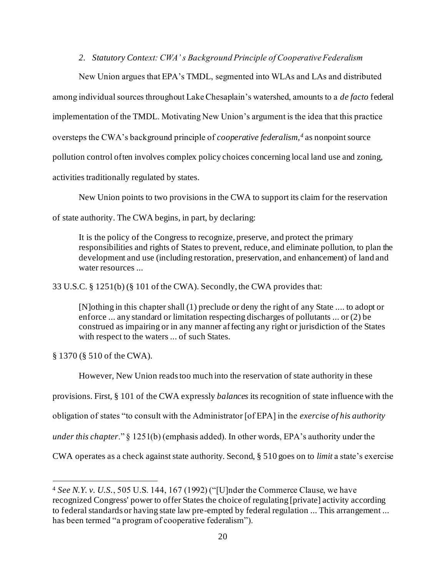*2. Statutory Context: CWA' s Background Principle of Cooperative Federalism*

New Union argues that EPA's TMDL, segmented into WLAs and LAs and distributed among individual sources throughout Lake Chesaplain's watershed, amounts to a *de facto* federal implementation of the TMDL. Motivating New Union's argument is the idea that this practice oversteps the CWA's background principle of *cooperative federalism,<sup>4</sup>* as nonpoint source pollution control often involves complex policy choices concerning local land use and zoning, activities traditionally regulated by states.

New Union points to two provisions in the CWA to support its claim for the reservation

of state authority. The CWA begins, in part, by declaring:

It is the policy of the Congress to recognize, preserve, and protect the primary responsibilities and rights of States to prevent, reduce, and eliminate pollution, to plan the development and use (including restoration, preservation, and enhancement) of land and water resources ...

33 U.S.C. § 1251(b) (§ 101 of the CWA). Secondly, the CWA provides that:

[N]othing in this chapter shall (1) preclude or deny the right of any State .... to adopt or enforce ... any standard or limitation respecting discharges of pollutants ... or (2) be construed as impairing or in any manner affecting any right or jurisdiction of the States with respect to the waters ... of such States.

§ 1370 (§ 510 of the CWA).

However, New Union reads too much into the reservation of state authority in these

provisions. First, § 101 of the CWA expressly *balances* its recognition of state influence with the

obligation of states "to consult with the Administrator [of EPA] in the *exercise of his authority*

*under this chapter*." § 1251(b) (emphasis added). In other words, EPA's authority under the

CWA operates as a check against state authority. Second, § 510 goes on to *limit* a state's exercise

<sup>4</sup> *See N.Y. v. U.S.*, 505 U.S. 144, 167 (1992) ("[U]nder the Commerce Clause, we have recognized Congress' power to offer States the choice of regulating [private] activity according to federal standards or having state law pre-empted by federal regulation ... This arrangement ... has been termed "a program of cooperative federalism").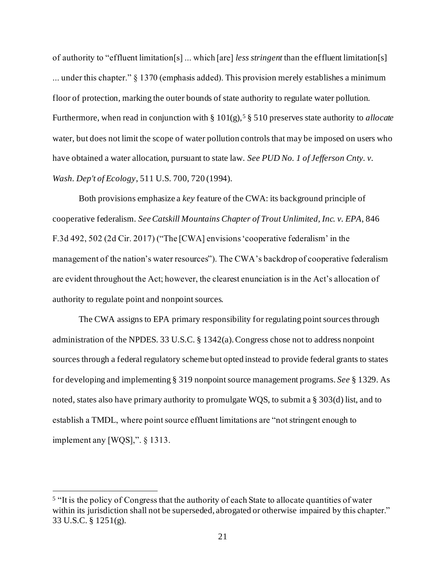of authority to "effluent limitation[s] ... which [are] *less stringent* than the effluent limitation[s] ... under this chapter." § 1370 (emphasis added). This provision merely establishes a minimum floor of protection, marking the outer bounds of state authority to regulate water pollution. Furthermore, when read in conjunction with § 101(g),<sup>5</sup> § 510 preserves state authority to *allocate* water, but does not limit the scope of water pollution controls that may be imposed on users who have obtained a water allocation, pursuant to state law. *See PUD No. 1 of Jefferson Cnty. v. Wash. Dep't of Ecology*, 511 U.S. 700, 720 (1994).

Both provisions emphasize a *key* feature of the CWA: its background principle of cooperative federalism. *SeeCatskill Mountains Chapter of Trout Unlimited, Inc. v. EPA*, 846 F.3d 492, 502 (2d Cir. 2017) ("The [CWA] envisions 'cooperative federalism' in the management of the nation's water resources"). The CWA's backdrop of cooperative federalism are evident throughout the Act; however, the clearest enunciation is in the Act's allocation of authority to regulate point and nonpoint sources.

The CWA assigns to EPA primary responsibility for regulating point sources through administration of the NPDES. 33 U.S.C. § 1342(a). Congress chose not to address nonpoint sources through a federal regulatory scheme but opted instead to provide federal grants to states for developing and implementing § 319 nonpoint source management programs. *See* § 1329. As noted, states also have primary authority to promulgate WQS, to submit a § 303(d) list, and to establish a TMDL, where point source effluent limitations are "not stringent enough to implement any [WQS],". § 1313.

<sup>&</sup>lt;sup>5</sup> "It is the policy of Congress that the authority of each State to allocate quantities of water within its jurisdiction shall not be superseded, abrogated or otherwise impaired by this chapter." 33 U.S.C. § 1251(g).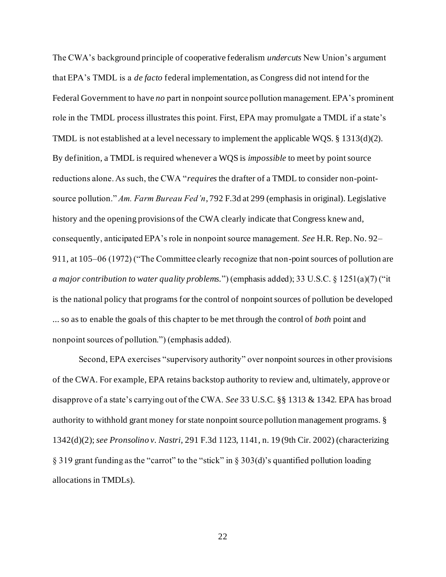The CWA's background principle of cooperative federalism *undercuts* New Union's argument that EPA's TMDL is a *de facto* federal implementation, as Congress did not intend for the Federal Government to have *no* part in nonpoint source pollution management. EPA's prominent role in the TMDL process illustrates this point. First, EPA may promulgate a TMDL if a state's TMDL is not established at a level necessary to implement the applicable WQS. § 1313(d)(2). By definition, a TMDL is required whenever a WQS is *impossible* to meet by point source reductions alone. As such, the CWA "*requires* the drafter of a TMDL to consider non-pointsource pollution." *Am. Farm Bureau Fed'n*, 792 F.3d at 299 (emphasis in original). Legislative history and the opening provisions of the CWA clearly indicate that Congress knew and, consequently, anticipated EPA's role in nonpoint source management. *See* H.R. Rep. No. 92– 911, at 105–06 (1972) ("The Committee clearly recognize that non-point sources of pollution are *a major contribution to water quality problems.*") (emphasis added); 33 U.S.C. § 1251(a)(7) ("it is the national policy that programs for the control of nonpoint sources of pollution be developed ... so as to enable the goals of this chapter to be met through the control of *both* point and nonpoint sources of pollution.") (emphasis added).

Second, EPA exercises "supervisory authority" over nonpoint sources in other provisions of the CWA. For example, EPA retains backstop authority to review and, ultimately, approve or disapprove of a state's carrying out of the CWA. *See* 33 U.S.C. §§ 1313 & 1342. EPA has broad authority to withhold grant money for state nonpoint source pollution management programs. § 1342(d)(2); *see Pronsolino v. Nastri*, 291 F.3d 1123, 1141, n. 19 (9th Cir. 2002) (characterizing § 319 grant funding as the "carrot" to the "stick" in § 303(d)'s quantified pollution loading allocations in TMDLs).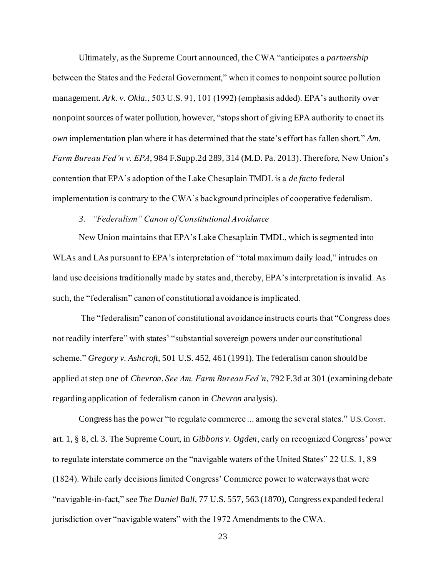Ultimately, as the Supreme Court announced, the CWA "anticipates a *partnership* between the States and the Federal Government," when it comes to nonpoint source pollution management. *Ark. v. Okla.*, 503 U.S. 91, 101 (1992) (emphasis added). EPA's authority over nonpoint sources of water pollution, however, "stops short of giving EPA authority to enact its *own* implementation plan where it has determined that the state's effort has fallen short." *Am. Farm Bureau Fed'n v. EPA*, 984 F.Supp.2d 289, 314 (M.D. Pa. 2013). Therefore, New Union's contention that EPA's adoption of the Lake Chesaplain TMDL is a *de facto* federal implementation is contrary to the CWA's background principles of cooperative federalism.

#### *3. "Federalism" Canon of Constitutional Avoidance*

New Union maintains that EPA's Lake Chesaplain TMDL, which is segmented into WLAs and LAs pursuant to EPA's interpretation of "total maximum daily load," intrudes on land use decisions traditionally made by states and, thereby, EPA's interpretation is invalid. As such, the "federalism" canon of constitutional avoidance is implicated.

The "federalism" canon of constitutional avoidance instructs courts that "Congress does not readily interfere" with states' "substantial sovereign powers under our constitutional scheme." *Gregory v. Ashcroft*, 501 U.S. 452, 461 (1991). The federalism canon should be applied at step one of *Chevron*. *See Am. Farm Bureau Fed'n*, 792 F.3d at 301 (examining debate regarding application of federalism canon in *Chevron* analysis).

Congress has the power "to regulate commerce ... among the several states." U.S. Const. art. 1, § 8, cl. 3. The Supreme Court, in *Gibbons v. Ogden*, early on recognized Congress' power to regulate interstate commerce on the "navigable waters of the United States" 22 U.S. 1, 89 (1824). While early decisions limited Congress' Commerce power to waterways that were "navigable-in-fact," *see The Daniel Ball*, 77 U.S. 557, 563 (1870), Congress expanded federal jurisdiction over "navigable waters" with the 1972 Amendments to the CWA.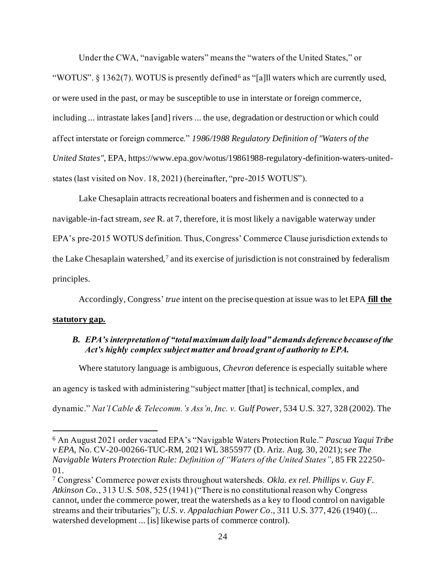Under the CWA, "navigable waters" means the "waters of the United States," or "WOTUS". § 1362(7). WOTUS is presently defined<sup>6</sup> as "[a]ll waters which are currently used, or were used in the past, or may be susceptible to use in interstate or foreign commerce, including ... intrastate lakes [and] rivers ... the use, degradation or destruction or which could affect interstate or foreign commerce." *1986/1988 Regulatory Definition of "Waters of the United States"*, EPA, https://www.epa.gov/wotus/19861988-regulatory-definition-waters-unitedstates (last visited on Nov. 18, 2021) (hereinafter, "pre-2015 WOTUS").

Lake Chesaplain attracts recreational boaters and fishermen and is connected to a navigable-in-fact stream, *see* R. at 7, therefore, it is most likely a navigable waterway under EPA's pre-2015 WOTUS definition. Thus, Congress' Commerce Clause jurisdiction extends to the Lake Chesaplain watershed, $7$  and its exercise of jurisdiction is not constrained by federalism principles.

Accordingly, Congress' *true* intent on the precise question at issue was to let EPA **fill the** 

#### <span id="page-31-0"></span>**statutory gap.**

#### *B. EPA's interpretation of "total maximum daily load" demands deference because of the Act's highly complex subject matter and broad grant of authority to EPA.*

Where statutory language is ambiguous, *Chevron* deference is especially suitable where an agency is tasked with administering "subject matter [that] is technical, complex, and dynamic." *Nat'l Cable & Telecomm.'s Ass'n, Inc. v.* G*ulf Power*, 534 U.S. 327, 328 (2002). The

<sup>6</sup> An August 2021 order vacated EPA's "Navigable Waters Protection Rule." *Pascua Yaqui Tribe v EPA*, No. CV-20-00266-TUC-RM, 2021 WL 3855977 (D. Ariz. Aug. 30, 2021); s*ee The Navigable Waters Protection Rule: Definition of "Waters of the United States"*, 85 FR 22250- 01.

<sup>7</sup> Congress' Commerce power exists throughout watersheds. *Okla. ex rel. Phillips v. Guy F. Atkinson Co.*, 313 U.S. 508, 525 (1941) ("There is no constitutional reason why Congress cannot, under the commerce power, treat the watersheds as a key to flood control on navigable streams and their tributaries"); *U.S. v. Appalachian Power Co*., 311 U.S. 377, 426 (1940) (... watershed development ... [is] likewise parts of commerce control).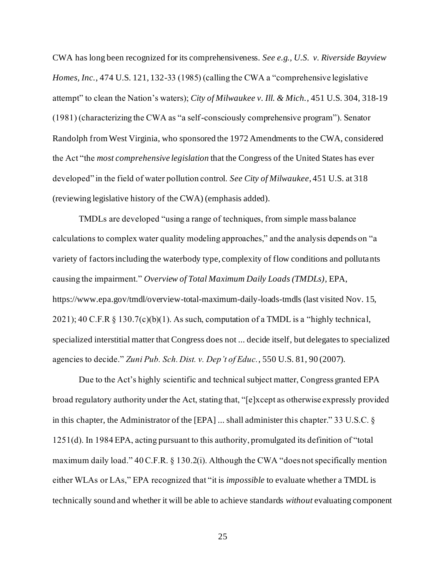CWA has long been recognized for its comprehensiveness. *See e.g., U.S. v. Riverside Bayview Homes, Inc.*, 474 U.S. 121, 132-33 (1985) (calling the CWA a "comprehensive legislative attempt" to clean the Nation's waters); *City of Milwaukee v. Ill. & Mich.*, 451 U.S. 304, 318-19 (1981) (characterizing the CWA as "a self-consciously comprehensive program"). Senator Randolph from West Virginia, who sponsored the 1972 Amendments to the CWA, considered the Act "the *most comprehensive legislation* that the Congress of the United States has ever developed" in the field of water pollution control. *See City of Milwaukee*, 451 U.S. at 318 (reviewing legislative history of the CWA) (emphasis added).

TMDLs are developed "using a range of techniques, from simple mass balance calculations to complex water quality modeling approaches," and the analysis depends on "a variety of factors including the waterbody type, complexity of flow conditions and pollutants causing the impairment." *Overview of Total Maximum Daily Loads (TMDLs)*, EPA, https://www.epa.gov/tmdl/overview-total-maximum-daily-loads-tmdls (last visited Nov. 15,  $2021$ ); 40 C.F.R § 130.7(c)(b)(1). As such, computation of a TMDL is a "highly technical, specialized interstitial matter that Congress does not ... decide itself, but delegates to specialized agencies to decide." *Zuni Pub. Sch. Dist. v. Dep't of Educ.*, 550 U.S. 81, 90 (2007).

Due to the Act's highly scientific and technical subject matter, Congress granted EPA broad regulatory authority under the Act, stating that, "[e]xcept as otherwise expressly provided in this chapter, the Administrator of the [EPA] ... shall administer this chapter." 33 U.S.C. § 1251(d). In 1984 EPA, acting pursuant to this authority, promulgated its definition of "total maximum daily load." 40 C.F.R. § 130.2(i). Although the CWA "does not specifically mention either WLAs or LAs," EPA recognized that "it is *impossible* to evaluate whether a TMDL is technically sound and whether it will be able to achieve standards *without* evaluating component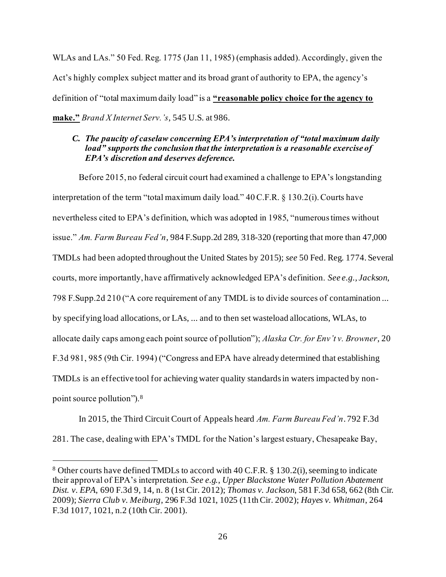WLAs and LAs." 50 Fed. Reg. 1775 (Jan 11, 1985) (emphasis added). Accordingly, given the Act's highly complex subject matter and its broad grant of authority to EPA, the agency's definition of "total maximum daily load" is a **"reasonable policy choice for the agency to make."** *Brand X Internet Serv.'s*, 545 U.S. at 986.

#### <span id="page-33-0"></span>*C. The paucity of caselaw concerning EPA's interpretation of "total maximum daily load" supports the conclusion that the interpretation is a reasonable exercise of EPA's discretion and deserves deference.*

Before 2015, no federal circuit court had examined a challenge to EPA's longstanding interpretation of the term "total maximum daily load." 40 C.F.R. § 130.2(i). Courts have nevertheless cited to EPA's definition, which was adopted in 1985, "numerous times without issue." *Am. Farm Bureau Fed'n*, 984 F.Supp.2d 289, 318-320 (reporting that more than 47,000 TMDLs had been adopted throughout the United States by 2015); *see* 50 Fed. Reg. 1774. Several courts, more importantly, have affirmatively acknowledged EPA's definition. *See e.g., Jackson*, 798 F.Supp.2d 210 ("A core requirement of any TMDL is to divide sources of contamination ... by specifying load allocations, or LAs, ... and to then set wasteload allocations, WLAs, to allocate daily caps among each point source of pollution"); *Alaska Ctr. for Env't v. Browner*, 20 F.3d 981, 985 (9th Cir. 1994) ("Congress and EPA have already determined that establishing TMDLs is an effective tool for achieving water quality standards in waters impacted by nonpoint source pollution").<sup>8</sup>

In 2015, the Third Circuit Court of Appeals heard *Am. Farm Bureau Fed'n*. 792 F.3d 281. The case, dealing with EPA's TMDL for the Nation's largest estuary, Chesapeake Bay,

<sup>8</sup> Other courts have defined TMDLs to accord with 40 C.F.R. § 130.2(i), seeming to indicate their approval of EPA's interpretation. *See e.g.*, *Upper Blackstone Water Pollution Abatement Dist. v. EPA*, 690 F.3d 9, 14, n. 8 (1st Cir. 2012); *Thomas v. Jackson*, 581 F.3d 658, 662 (8th Cir. 2009); *Sierra Club v. Meiburg*, 296 F.3d 1021, 1025 (11th Cir. 2002); *Hayes v. Whitman*, 264 F.3d 1017, 1021, n.2 (10th Cir. 2001).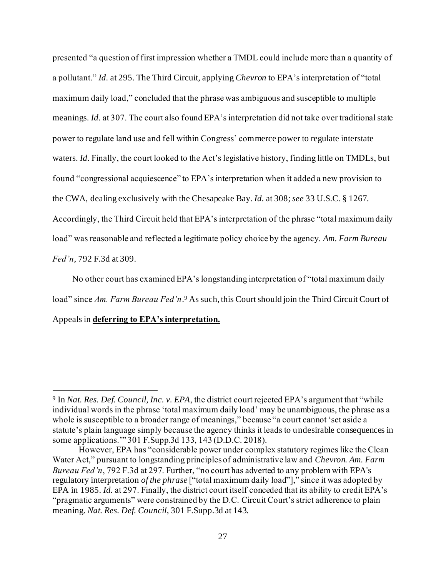presented "a question of first impression whether a TMDL could include more than a quantity of a pollutant." *Id.* at 295. The Third Circuit, applying *Chevron* to EPA's interpretation of "total maximum daily load," concluded that the phrase was ambiguous and susceptible to multiple meanings. *Id.* at 307. The court also found EPA's interpretation did not take over traditional state power to regulate land use and fell within Congress' commerce power to regulate interstate waters. *Id.* Finally, the court looked to the Act's legislative history, finding little on TMDLs, but found "congressional acquiescence" to EPA's interpretation when it added a new provision to the CWA, dealing exclusively with the Chesapeake Bay. *Id.* at 308; *see* 33 U.S.C. § 1267. Accordingly, the Third Circuit held that EPA's interpretation of the phrase "total maximum daily load" was reasonable and reflected a legitimate policy choice by the agency. *Am. Farm Bureau Fed'n*, 792 F.3d at 309.

No other court has examined EPA's longstanding interpretation of "total maximum daily load" since *Am. Farm Bureau Fed'n*. <sup>9</sup> As such, this Court should join the Third Circuit Court of Appeals in **deferring to EPA's interpretation.**

<sup>9</sup> In *Nat. Res. Def. Council, Inc. v. EPA*, the district court rejected EPA's argument that "while individual words in the phrase 'total maximum daily load' may be unambiguous, the phrase as a whole is susceptible to a broader range of meanings," because "a court cannot 'set aside a statute's plain language simply because the agency thinks it leads to undesirable consequences in some applications.'" 301 F.Supp.3d 133, 143 (D.D.C. 2018).

However, EPA has "considerable power under complex statutory regimes like the Clean Water Act," pursuant to longstanding principles of administrative law and *Chevron. Am. Farm Bureau Fed'n*, 792 F.3d at 297. Further, "no court has adverted to any problem with EPA's regulatory interpretation *of the phrase* ["total maximum daily load"]," since it was adopted by EPA in 1985. *Id.* at 297. Finally, the district court itself conceded that its ability to credit EPA's "pragmatic arguments" were constrained by the D.C. Circuit Court's strict adherence to plain meaning. *Nat. Res. Def. Council*, 301 F.Supp.3d at 143.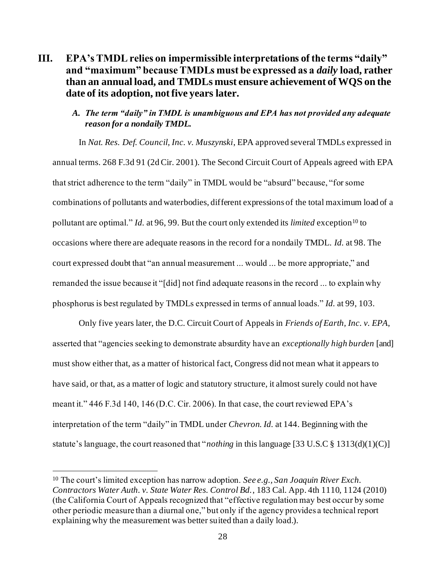# <span id="page-35-0"></span>**III. EPA's TMDL relies on impermissible interpretations of the terms "daily" and "maximum" because TMDLs must be expressed as a** *daily* **load, rather than an annual load, and TMDLs must ensure achievement of WQS on the date of its adoption, not five years later.**

#### <span id="page-35-1"></span>*A. The term "daily" in TMDL is unambiguous and EPA has not provided any adequate reason for a nondaily TMDL.*

In *Nat. Res. Def. Council, Inc. v. Muszynski*, EPA approved several TMDLs expressed in annual terms. 268 F.3d 91 (2d Cir. 2001). The Second Circuit Court of Appeals agreed with EPA that strict adherence to the term "daily" in TMDL would be "absurd" because, "for some combinations of pollutants and waterbodies, different expressions of the total maximum load of a pollutant are optimal." *Id.* at 96, 99. But the court only extended its *limited* exception<sup>10</sup> to occasions where there are adequate reasons in the record for a nondaily TMDL. *Id.* at 98. The court expressed doubt that "an annual measurement ... would ... be more appropriate," and remanded the issue because it "[did] not find adequate reasons in the record ... to explain why phosphorus is best regulated by TMDLs expressed in terms of annual loads." *Id.* at 99, 103.

Only five years later, the D.C. Circuit Court of Appeals in *Friends of Earth, Inc. v. EPA*, asserted that "agencies seeking to demonstrate absurdity have an *exceptionally high burden* [and] must show either that, as a matter of historical fact, Congress did not mean what it appears to have said, or that, as a matter of logic and statutory structure, it almost surely could not have meant it." 446 F.3d 140, 146 (D.C. Cir. 2006). In that case, the court reviewed EPA's interpretation of the term "daily" in TMDL under *Chevron*. *Id.* at 144. Beginning with the statute's language, the court reasoned that "*nothing* in this language [33 U.S.C § 1313(d)(1)(C)]

<sup>10</sup> The court's limited exception has narrow adoption. *See e.g., San Joaquin River Exch. Contractors Water Auth. v. State Water Res. Control Bd.*, 183 Cal. App. 4th 1110, 1124 (2010) (the California Court of Appeals recognized that "effective regulation may best occur by some other periodic measure than a diurnal one," but only if the agency provides a technical report explaining why the measurement was better suited than a daily load.).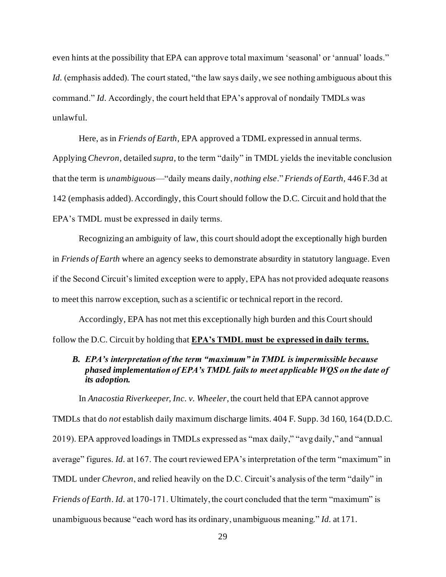even hints at the possibility that EPA can approve total maximum 'seasonal' or 'annual' loads." Id. (emphasis added). The court stated, "the law says daily, we see nothing ambiguous about this command." *Id.* Accordingly, the court held that EPA's approval of nondaily TMDLs was unlawful.

Here, as in *Friends of Earth*, EPA approved a TDML expressed in annual terms. Applying *Chevron*, detailed *supra*, to the term "daily" in TMDL yields the inevitable conclusion that the term is *unambiguous*—"daily means daily, *nothing else*." *Friends of Earth,* 446 F.3d at 142 (emphasis added). Accordingly, this Court should follow the D.C. Circuit and hold that the EPA's TMDL must be expressed in daily terms.

Recognizing an ambiguity of law, this court should adopt the exceptionally high burden in *Friends of Earth* where an agency seeks to demonstrate absurdity in statutory language. Even if the Second Circuit's limited exception were to apply, EPA has not provided adequate reasons to meet this narrow exception, such as a scientific or technical report in the record.

Accordingly, EPA has not met this exceptionally high burden and this Court should follow the D.C. Circuit by holding that **EPA's TMDL must be expressed in daily terms.**

#### <span id="page-36-0"></span>*B. EPA's interpretation of the term "maximum" in TMDL is impermissible because phased implementation of EPA's TMDL fails to meet applicable WQS on the date of its adoption.*

In *Anacostia Riverkeeper, Inc. v. Wheeler*, the court held that EPA cannot approve TMDLs that do *not* establish daily maximum discharge limits. 404 F. Supp. 3d 160, 164 (D.D.C. 2019). EPA approved loadings in TMDLs expressed as "max daily," "avg daily," and "annual average" figures. *Id.* at 167. The court reviewed EPA's interpretation of the term "maximum" in TMDL under *Chevron*, and relied heavily on the D.C. Circuit's analysis of the term "daily" in *Friends of Earth*. *Id.* at 170-171. Ultimately, the court concluded that the term "maximum" is unambiguous because "each word has its ordinary, unambiguous meaning." *Id.* at 171.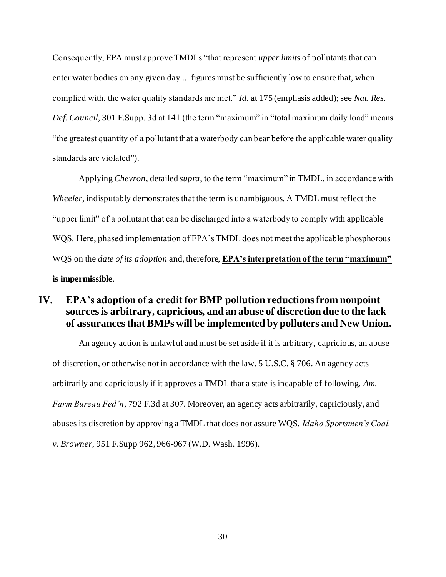Consequently, EPA must approve TMDLs "that represent *upper limits* of pollutants that can enter water bodies on any given day ... figures must be sufficiently low to ensure that, when complied with, the water quality standards are met." *Id.* at 175 (emphasis added); see *Nat. Res. Def. Council*, 301 F.Supp. 3d at 141 (the term "maximum" in "total maximum daily load" means "the greatest quantity of a pollutant that a waterbody can bear before the applicable water quality standards are violated").

Applying *Chevron*, detailed *supra*, to the term "maximum" in TMDL, in accordance with *Wheeler*, indisputably demonstrates that the term is unambiguous. A TMDL must reflect the "upper limit" of a pollutant that can be discharged into a waterbody to comply with applicable WQS. Here, phased implementation of EPA's TMDL does not meet the applicable phosphorous WQS on the *date of its adoption* and, therefore, **EPA's interpretation of the term "maximum" is impermissible**.

# <span id="page-37-0"></span>**IV. EPA's adoption of a credit for BMP pollution reductions from nonpoint sources is arbitrary, capricious, and an abuse of discretion due to the lack of assurances that BMPs will be implemented by polluters and New Union.**

An agency action is unlawful and must be set aside if it is arbitrary, capricious, an abuse of discretion, or otherwise not in accordance with the law. 5 U.S.C. § 706. An agency acts arbitrarily and capriciously if it approves a TMDL that a state is incapable of following. *Am. Farm Bureau Fed'n*, 792 F.3d at 307. Moreover, an agency acts arbitrarily, capriciously, and abuses its discretion by approving a TMDL that does not assure WQS. *Idaho Sportsmen's Coal. v. Browner*, 951 F.Supp 962, 966-967 (W.D. Wash. 1996).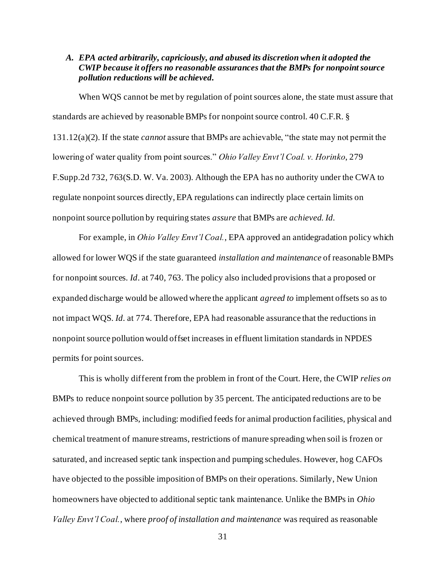#### <span id="page-38-0"></span>*A. EPA acted arbitrarily, capriciously, and abused its discretion when it adopted the CWIP because it offers no reasonable assurances that the BMPs for nonpoint source pollution reductions will be achieved.*

When WQS cannot be met by regulation of point sources alone, the state must assure that standards are achieved by reasonable BMPs for nonpoint source control. 40 C.F.R. § 131.12(a)(2). If the state *cannot* assure that BMPs are achievable, "the state may not permit the lowering of water quality from point sources." *Ohio Valley Envt'l Coal. v. Horinko*, 279 F.Supp.2d 732, 763(S.D. W. Va. 2003). Although the EPA has no authority under the CWA to regulate nonpoint sources directly, EPA regulations can indirectly place certain limits on nonpoint source pollution by requiring states *assure* that BMPs are *achieved*. *Id.*

For example, in *Ohio Valley Envt'l Coal.*, EPA approved an antidegradation policy which allowed for lower WQS if the state guaranteed *installation and maintenance* of reasonable BMPs for nonpoint sources. *Id*. at 740, 763. The policy also included provisions that a proposed or expanded discharge would be allowed where the applicant *agreed to* implement offsets so as to not impact WQS. *Id.* at 774. Therefore, EPA had reasonable assurance that the reductions in nonpoint source pollution would offset increases in effluent limitation standards in NPDES permits for point sources.

This is wholly different from the problem in front of the Court. Here, the CWIP *relies on* BMPs to reduce nonpoint source pollution by 35 percent. The anticipated reductions are to be achieved through BMPs, including: modified feeds for animal production facilities, physical and chemical treatment of manure streams, restrictions of manure spreading when soil is frozen or saturated, and increased septic tank inspection and pumping schedules. However, hog CAFOs have objected to the possible imposition of BMPs on their operations. Similarly, New Union homeowners have objected to additional septic tank maintenance. Unlike the BMPs in *Ohio Valley Envt'l Coal.*, where *proof of installation and maintenance* was required as reasonable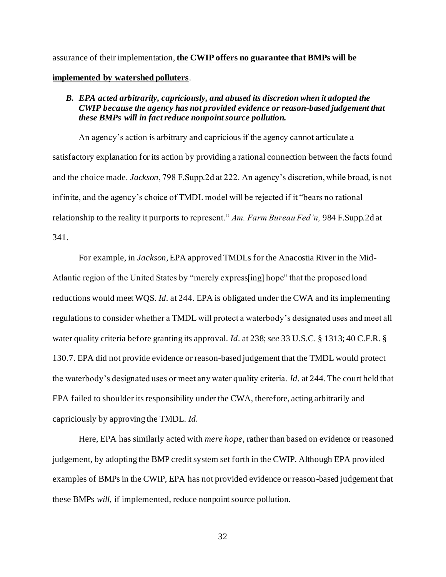assurance of their implementation, **the CWIP offers no guarantee that BMPs will be implemented by watershed polluters**.

#### <span id="page-39-0"></span>*B. EPA acted arbitrarily, capriciously, and abused its discretion when it adopted the CWIP because the agency has not provided evidence or reason-based judgement that these BMPs will in fact reduce nonpoint source pollution.*

An agency's action is arbitrary and capricious if the agency cannot articulate a satisfactory explanation for its action by providing a rational connection between the facts found and the choice made. *Jackson*, 798 F.Supp.2d at 222. An agency's discretion, while broad, is not infinite, and the agency's choice of TMDL model will be rejected if it "bears no rational relationship to the reality it purports to represent." *Am. Farm Bureau Fed'n,* 984 F.Supp.2d at 341.

For example, in *Jackson*, EPA approved TMDLs for the Anacostia River in the Mid-Atlantic region of the United States by "merely express[ing] hope" that the proposed load reductions would meet WQS. *Id.* at 244. EPA is obligated under the CWA and its implementing regulations to consider whether a TMDL will protect a waterbody's designated uses and meet all water quality criteria before granting its approval. *Id*. at 238; *see* 33 U.S.C. § 1313; 40 C.F.R. § 130.7. EPA did not provide evidence or reason-based judgement that the TMDL would protect the waterbody's designated uses or meet any water quality criteria. *Id*. at 244. The court held that EPA failed to shoulder its responsibility under the CWA, therefore, acting arbitrarily and capriciously by approving the TMDL. *Id.*

Here, EPA has similarly acted with *mere hope*, rather than based on evidence or reasoned judgement, by adopting the BMP credit system set forth in the CWIP. Although EPA provided examples of BMPs in the CWIP, EPA has not provided evidence or reason-based judgement that these BMPs *will*, if implemented, reduce nonpoint source pollution.